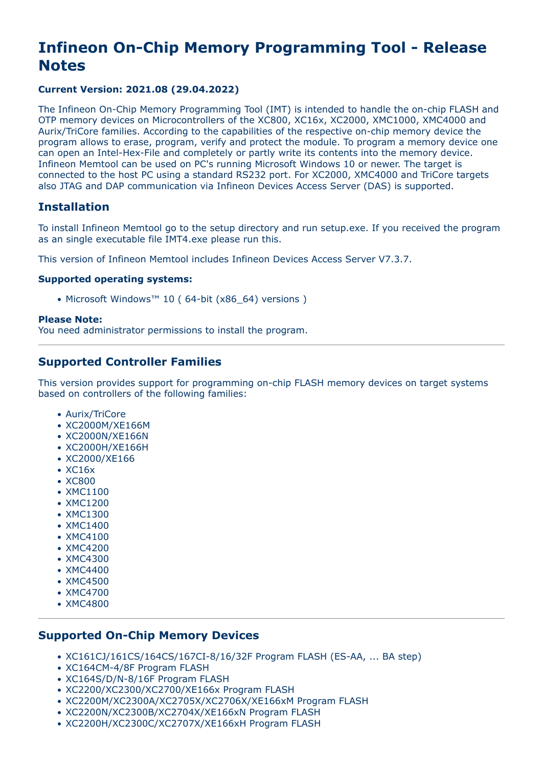# **Infineon On-Chip Memory Programming Tool - Release Notes**

# **Current Version: 2021.08 (29.04.2022)**

The Infineon On-Chip Memory Programming Tool (IMT) is intended to handle the on-chip FLASH and OTP memory devices on Microcontrollers of the XC800, XC16x, XC2000, XMC1000, XMC4000 and Aurix/TriCore families. According to the capabilities of the respective on-chip memory device the program allows to erase, program, verify and protect the module. To program a memory device one can open an Intel-Hex-File and completely or partly write its contents into the memory device. Infineon Memtool can be used on PC's running Microsoft Windows 10 or newer. The target is connected to the host PC using a standard RS232 port. For XC2000, XMC4000 and TriCore targets also JTAG and DAP communication via Infineon Devices Access Server (DAS) is supported.

# **Installation**

To install Infineon Memtool go to the setup directory and run setup.exe. If you received the program as an single executable file IMT4.exe please run this.

This version of Infineon Memtool includes Infineon Devices Access Server V7.3.7.

#### **Supported operating systems:**

• Microsoft Windows™ 10 ( 64-bit (x86\_64) versions )

#### **Please Note:**

You need administrator permissions to install the program.

# **Supported Controller Families**

This version provides support for programming on-chip FLASH memory devices on target systems based on controllers of the following families:

- Aurix/TriCore
- XC2000M/XE166M
- XC2000N/XE166N
- XC2000H/XE166H
- XC2000/XE166
- XC16x
- XC800
- XMC1100
- XMC1200
- XMC1300
- XMC1400
- XMC4100
- XMC4200
- XMC4300
- XMC4400
- XMC4500
- XMC4700
- XMC4800

# **Supported On-Chip Memory Devices**

- XC161CJ/161CS/164CS/167CI-8/16/32F Program FLASH (ES-AA, ... BA step)
- XC164CM-4/8F Program FLASH
- XC164S/D/N-8/16F Program FLASH
- XC2200/XC2300/XC2700/XE166x Program FLASH
- XC2200M/XC2300A/XC2705X/XC2706X/XE166xM Program FLASH
- XC2200N/XC2300B/XC2704X/XE166xN Program FLASH
- XC2200H/XC2300C/XC2707X/XE166xH Program FLASH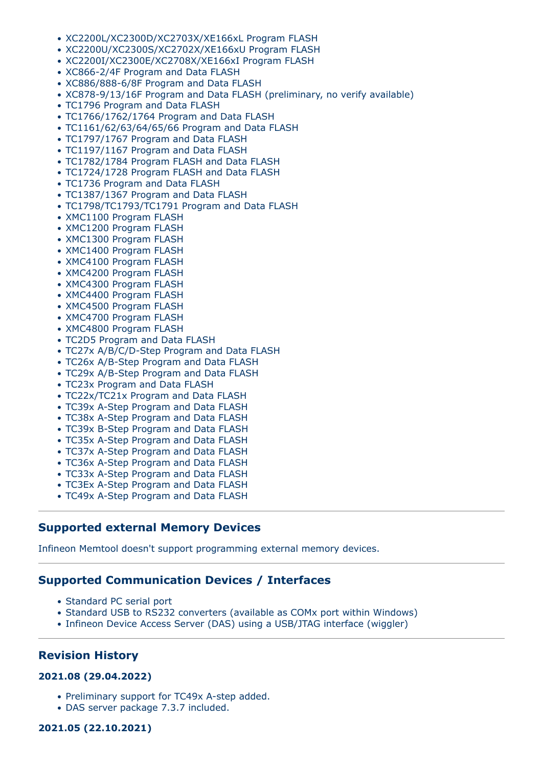- XC2200L/XC2300D/XC2703X/XE166xL Program FLASH
- XC2200U/XC2300S/XC2702X/XE166xU Program FLASH
- XC2200I/XC2300E/XC2708X/XE166xI Program FLASH
- XC866-2/4F Program and Data FLASH
- XC886/888-6/8F Program and Data FLASH
- XC878-9/13/16F Program and Data FLASH (preliminary, no verify available)
- TC1796 Program and Data FLASH
- TC1766/1762/1764 Program and Data FLASH
- TC1161/62/63/64/65/66 Program and Data FLASH
- TC1797/1767 Program and Data FLASH
- TC1197/1167 Program and Data FLASH
- TC1782/1784 Program FLASH and Data FLASH
- TC1724/1728 Program FLASH and Data FLASH
- TC1736 Program and Data FLASH
- TC1387/1367 Program and Data FLASH
- TC1798/TC1793/TC1791 Program and Data FLASH
- XMC1100 Program FLASH
- XMC1200 Program FLASH
- XMC1300 Program FLASH
- XMC1400 Program FLASH
- XMC4100 Program FLASH
- XMC4200 Program FLASH
- XMC4300 Program FLASH
- XMC4400 Program FLASH
- XMC4500 Program FLASH
- XMC4700 Program FLASH
- XMC4800 Program FLASH
- TC2D5 Program and Data FLASH
- TC27x A/B/C/D-Step Program and Data FLASH
- TC26x A/B-Step Program and Data FLASH
- TC29x A/B-Step Program and Data FLASH
- TC23x Program and Data FLASH
- TC22x/TC21x Program and Data FLASH
- TC39x A-Step Program and Data FLASH
- TC38x A-Step Program and Data FLASH
- TC39x B-Step Program and Data FLASH
- TC35x A-Step Program and Data FLASH
- TC37x A-Step Program and Data FLASH
- TC36x A-Step Program and Data FLASH
- TC33x A-Step Program and Data FLASH
- TC3Ex A-Step Program and Data FLASH
- TC49x A-Step Program and Data FLASH

# **Supported external Memory Devices**

Infineon Memtool doesn't support programming external memory devices.

# **Supported Communication Devices / Interfaces**

- Standard PC serial port
- Standard USB to RS232 converters (available as COMx port within Windows)
- Infineon Device Access Server (DAS) using a USB/JTAG interface (wiggler)

# **Revision History**

#### **2021.08 (29.04.2022)**

- Preliminary support for TC49x A-step added.
- DAS server package 7.3.7 included.

#### **2021.05 (22.10.2021)**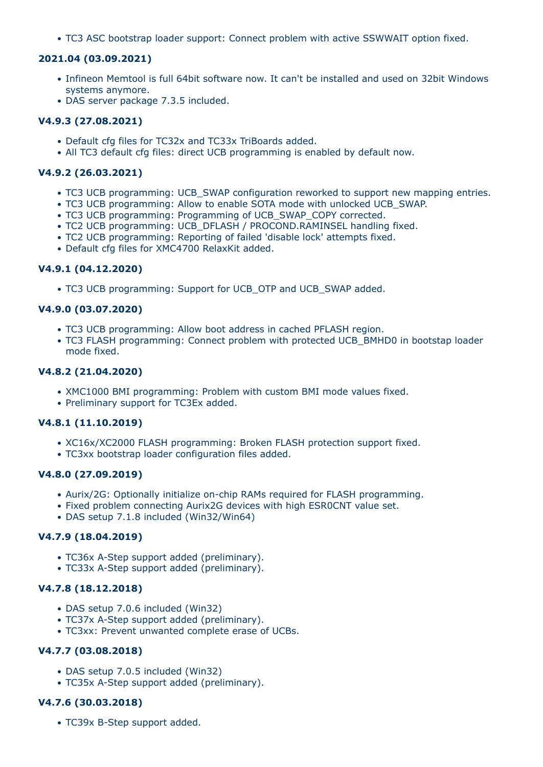• TC3 ASC bootstrap loader support: Connect problem with active SSWWAIT option fixed.

#### **2021.04 (03.09.2021)**

- Infineon Memtool is full 64bit software now. It can't be installed and used on 32bit Windows systems anymore.
- DAS server package 7.3.5 included.

#### **V4.9.3 (27.08.2021)**

- Default cfg files for TC32x and TC33x TriBoards added.
- All TC3 default cfg files: direct UCB programming is enabled by default now.

# **V4.9.2 (26.03.2021)**

- TC3 UCB programming: UCB\_SWAP configuration reworked to support new mapping entries.
- TC3 UCB programming: Allow to enable SOTA mode with unlocked UCB\_SWAP.
- TC3 UCB programming: Programming of UCB\_SWAP\_COPY corrected.
- TC2 UCB programming: UCB\_DFLASH / PROCOND.RAMINSEL handling fixed.
- TC2 UCB programming: Reporting of failed 'disable lock' attempts fixed.
- Default cfg files for XMC4700 RelaxKit added.

## **V4.9.1 (04.12.2020)**

• TC3 UCB programming: Support for UCB\_OTP and UCB\_SWAP added.

## **V4.9.0 (03.07.2020)**

- TC3 UCB programming: Allow boot address in cached PFLASH region.
- TC3 FLASH programming: Connect problem with protected UCB BMHD0 in bootstap loader mode fixed.

#### **V4.8.2 (21.04.2020)**

- XMC1000 BMI programming: Problem with custom BMI mode values fixed.
- Preliminary support for TC3Ex added.

## **V4.8.1 (11.10.2019)**

- XC16x/XC2000 FLASH programming: Broken FLASH protection support fixed.
- TC3xx bootstrap loader configuration files added.

#### **V4.8.0 (27.09.2019)**

- Aurix/2G: Optionally initialize on-chip RAMs required for FLASH programming.
- Fixed problem connecting Aurix2G devices with high ESR0CNT value set.
- DAS setup 7.1.8 included (Win32/Win64)

#### **V4.7.9 (18.04.2019)**

- TC36x A-Step support added (preliminary).
- TC33x A-Step support added (preliminary).

## **V4.7.8 (18.12.2018)**

- DAS setup 7.0.6 included (Win32)
- TC37x A-Step support added (preliminary).
- TC3xx: Prevent unwanted complete erase of UCBs.

#### **V4.7.7 (03.08.2018)**

- DAS setup 7.0.5 included (Win32)
- TC35x A-Step support added (preliminary).

## **V4.7.6 (30.03.2018)**

• TC39x B-Step support added.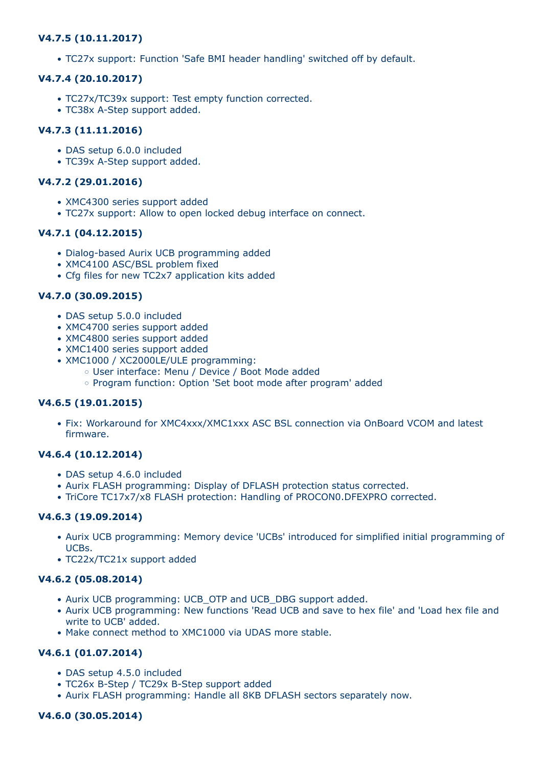# **V4.7.5 (10.11.2017)**

• TC27x support: Function 'Safe BMI header handling' switched off by default.

## **V4.7.4 (20.10.2017)**

- TC27x/TC39x support: Test empty function corrected.
- TC38x A-Step support added.

# **V4.7.3 (11.11.2016)**

- DAS setup 6.0.0 included
- TC39x A-Step support added.

# **V4.7.2 (29.01.2016)**

- XMC4300 series support added
- TC27x support: Allow to open locked debug interface on connect.

## **V4.7.1 (04.12.2015)**

- Dialog-based Aurix UCB programming added
- XMC4100 ASC/BSL problem fixed
- Cfg files for new TC2x7 application kits added

## **V4.7.0 (30.09.2015)**

- DAS setup 5.0.0 included
- XMC4700 series support added
- XMC4800 series support added
- XMC1400 series support added
- XMC1000 / XC2000LE/ULE programming:
	- User interface: Menu / Device / Boot Mode added
	- Program function: Option 'Set boot mode after program' added

## **V4.6.5 (19.01.2015)**

• Fix: Workaround for XMC4xxx/XMC1xxx ASC BSL connection via OnBoard VCOM and latest firmware.

## **V4.6.4 (10.12.2014)**

- DAS setup 4.6.0 included
- Aurix FLASH programming: Display of DFLASH protection status corrected.
- TriCore TC17x7/x8 FLASH protection: Handling of PROCON0.DFEXPRO corrected.

## **V4.6.3 (19.09.2014)**

- Aurix UCB programming: Memory device 'UCBs' introduced for simplified initial programming of UCBs.
- TC22x/TC21x support added

## **V4.6.2 (05.08.2014)**

- Aurix UCB programming: UCB\_OTP and UCB\_DBG support added.
- Aurix UCB programming: New functions 'Read UCB and save to hex file' and 'Load hex file and write to UCB' added.
- Make connect method to XMC1000 via UDAS more stable.

# **V4.6.1 (01.07.2014)**

- DAS setup 4.5.0 included
- TC26x B-Step / TC29x B-Step support added
- Aurix FLASH programming: Handle all 8KB DFLASH sectors separately now.

## **V4.6.0 (30.05.2014)**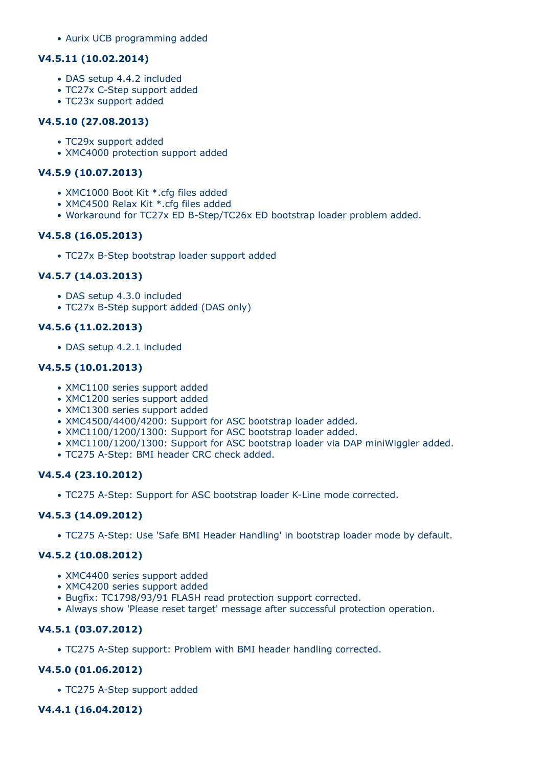• Aurix UCB programming added

#### **V4.5.11 (10.02.2014)**

- DAS setup 4.4.2 included
- TC27x C-Step support added
- TC23x support added

#### **V4.5.10 (27.08.2013)**

- TC29x support added
- XMC4000 protection support added

## **V4.5.9 (10.07.2013)**

- XMC1000 Boot Kit \*.cfg files added
- XMC4500 Relax Kit \*.cfg files added
- Workaround for TC27x ED B-Step/TC26x ED bootstrap loader problem added.

## **V4.5.8 (16.05.2013)**

• TC27x B-Step bootstrap loader support added

## **V4.5.7 (14.03.2013)**

- DAS setup 4.3.0 included
- TC27x B-Step support added (DAS only)

## **V4.5.6 (11.02.2013)**

• DAS setup 4.2.1 included

## **V4.5.5 (10.01.2013)**

- XMC1100 series support added
- XMC1200 series support added
- XMC1300 series support added
- XMC4500/4400/4200: Support for ASC bootstrap loader added.
- XMC1100/1200/1300: Support for ASC bootstrap loader added.
- XMC1100/1200/1300: Support for ASC bootstrap loader via DAP miniWiggler added.
- TC275 A-Step: BMI header CRC check added.

## **V4.5.4 (23.10.2012)**

• TC275 A-Step: Support for ASC bootstrap loader K-Line mode corrected.

## **V4.5.3 (14.09.2012)**

• TC275 A-Step: Use 'Safe BMI Header Handling' in bootstrap loader mode by default.

## **V4.5.2 (10.08.2012)**

- XMC4400 series support added
- XMC4200 series support added
- Bugfix: TC1798/93/91 FLASH read protection support corrected.
- Always show 'Please reset target' message after successful protection operation.

## **V4.5.1 (03.07.2012)**

• TC275 A-Step support: Problem with BMI header handling corrected.

## **V4.5.0 (01.06.2012)**

• TC275 A-Step support added

## **V4.4.1 (16.04.2012)**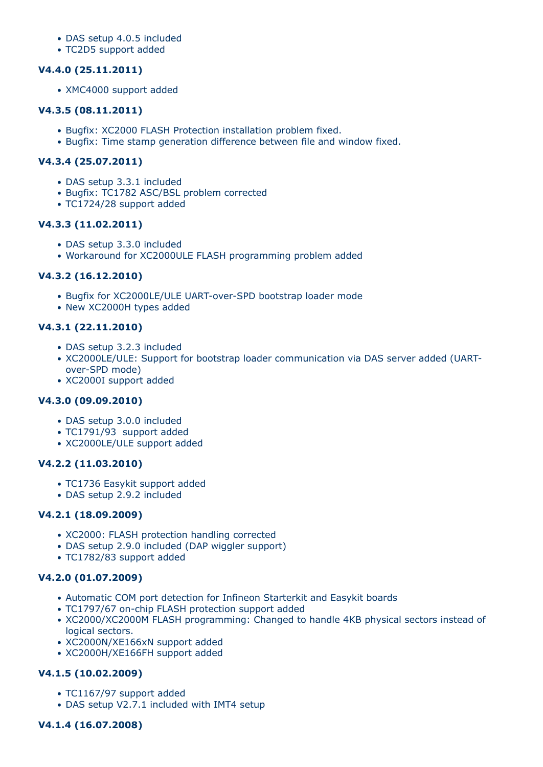- DAS setup 4.0.5 included
- TC2D5 support added

#### **V4.4.0 (25.11.2011)**

• XMC4000 support added

#### **V4.3.5 (08.11.2011)**

- Bugfix: XC2000 FLASH Protection installation problem fixed.
- Bugfix: Time stamp generation difference between file and window fixed.

## **V4.3.4 (25.07.2011)**

- DAS setup 3.3.1 included
- Bugfix: TC1782 ASC/BSL problem corrected
- TC1724/28 support added

## **V4.3.3 (11.02.2011)**

- DAS setup 3.3.0 included
- Workaround for XC2000ULE FLASH programming problem added

## **V4.3.2 (16.12.2010)**

- Bugfix for XC2000LE/ULE UART-over-SPD bootstrap loader mode
- New XC2000H types added

# **V4.3.1 (22.11.2010)**

- DAS setup 3.2.3 included
- XC2000LE/ULE: Support for bootstrap loader communication via DAS server added (UARTover-SPD mode)
- XC2000I support added

## **V4.3.0 (09.09.2010)**

- DAS setup 3.0.0 included
- TC1791/93 support added
- XC2000LE/ULE support added

## **V4.2.2 (11.03.2010)**

- TC1736 Easykit support added
- DAS setup 2.9.2 included

## **V4.2.1 (18.09.2009)**

- XC2000: FLASH protection handling corrected
- DAS setup 2.9.0 included (DAP wiggler support)
- TC1782/83 support added

## **V4.2.0 (01.07.2009)**

- Automatic COM port detection for Infineon Starterkit and Easykit boards
- TC1797/67 on-chip FLASH protection support added
- XC2000/XC2000M FLASH programming: Changed to handle 4KB physical sectors instead of logical sectors.
- XC2000N/XE166xN support added
- XC2000H/XE166FH support added

# **V4.1.5 (10.02.2009)**

- TC1167/97 support added
- DAS setup V2.7.1 included with IMT4 setup

## **V4.1.4 (16.07.2008)**